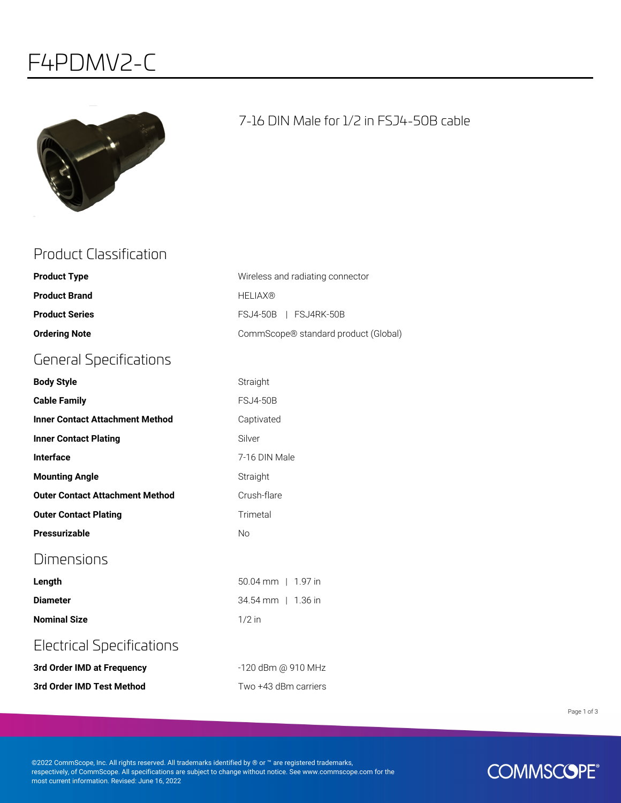# F4PDMV2-C



### 7-16 DIN Male for 1/2 in FSJ4-50B cable

## Product Classification

| <b>Product Type</b>                    | Wireless and radiating connector     |
|----------------------------------------|--------------------------------------|
| <b>Product Brand</b>                   | <b>HELIAX®</b>                       |
| <b>Product Series</b>                  | FSJ4-50B   FSJ4RK-50B                |
| <b>Ordering Note</b>                   | CommScope® standard product (Global) |
| <b>General Specifications</b>          |                                      |
| <b>Body Style</b>                      | Straight                             |
| <b>Cable Family</b>                    | <b>FSJ4-50B</b>                      |
| <b>Inner Contact Attachment Method</b> | Captivated                           |
| <b>Inner Contact Plating</b>           | Silver                               |
| <b>Interface</b>                       | 7-16 DIN Male                        |
| <b>Mounting Angle</b>                  | Straight                             |
| <b>Outer Contact Attachment Method</b> | Crush-flare                          |
| <b>Outer Contact Plating</b>           | Trimetal                             |
| <b>Pressurizable</b>                   | <b>No</b>                            |
| Dimensions                             |                                      |
| Length                                 | 50.04 mm   1.97 in                   |
| <b>Diameter</b>                        | 34.54 mm   1.36 in                   |
| <b>Nominal Size</b>                    | $1/2$ in                             |
| <b>Electrical Specifications</b>       |                                      |
| 3rd Order IMD at Frequency             | -120 dBm @ 910 MHz                   |

**3rd Order IMD Test Method** Two +43 dBm carriers

Page 1 of 3

©2022 CommScope, Inc. All rights reserved. All trademarks identified by ® or ™ are registered trademarks, respectively, of CommScope. All specifications are subject to change without notice. See www.commscope.com for the most current information. Revised: June 16, 2022

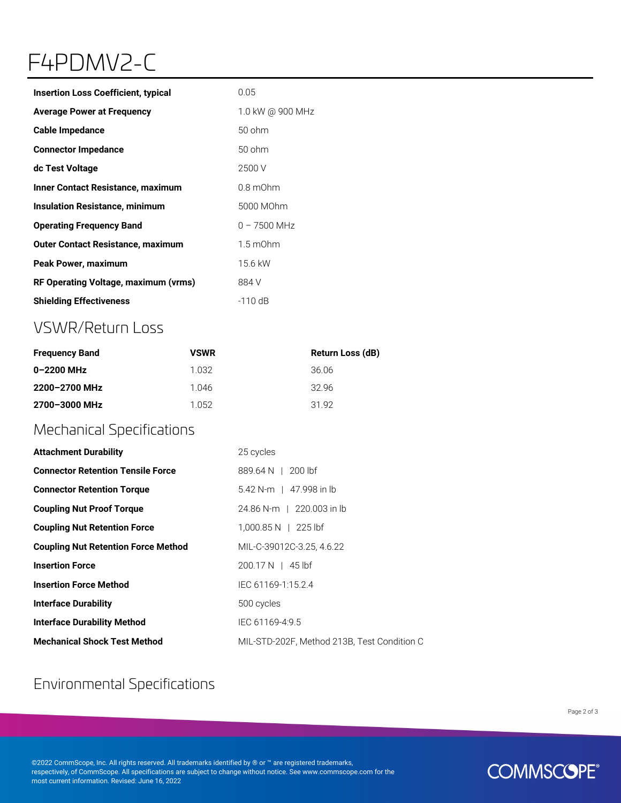# F4PDMV2-C

| <b>Insertion Loss Coefficient, typical</b> | 0.05               |
|--------------------------------------------|--------------------|
| <b>Average Power at Frequency</b>          | 1.0 kW @ 900 MHz   |
| <b>Cable Impedance</b>                     | 50 ohm             |
| <b>Connector Impedance</b>                 | 50 ohm             |
| dc Test Voltage                            | 2500 V             |
| Inner Contact Resistance, maximum          | $0.8$ m $Ohm$      |
| <b>Insulation Resistance, minimum</b>      | 5000 MOhm          |
| <b>Operating Frequency Band</b>            | $0 - 7500$ MHz     |
| <b>Outer Contact Resistance, maximum</b>   | $1.5 \text{ mOhm}$ |
| <b>Peak Power, maximum</b>                 | 15.6 kW            |
| RF Operating Voltage, maximum (vrms)       | 884 V              |
| <b>Shielding Effectiveness</b>             | $-110$ dB          |

# VSWR/Return Loss

| <b>Frequency Band</b> | <b>VSWR</b> | Return Loss (dB) |
|-----------------------|-------------|------------------|
| 0-2200 MHz            | 1 032       | 36.06            |
| 2200-2700 MHz         | 1 046       | 3296             |
| 2700-3000 MHz         | 1 052       | 3192             |

### Mechanical Specifications

| <b>Attachment Durability</b>               | 25 cycles                                   |
|--------------------------------------------|---------------------------------------------|
| <b>Connector Retention Tensile Force</b>   | 889.64 N   200 lbf                          |
| <b>Connector Retention Torque</b>          | 5.42 N-m   47.998 in lb                     |
| <b>Coupling Nut Proof Torque</b>           | 24.86 N-m   220.003 in lb                   |
| <b>Coupling Nut Retention Force</b>        | $1,000.85 N$   225 lbf                      |
| <b>Coupling Nut Retention Force Method</b> | MIL-C-39012C-3.25, 4.6.22                   |
| <b>Insertion Force</b>                     | $200.17 N$   45 lbf                         |
| <b>Insertion Force Method</b>              | IEC 61169-1:15.2.4                          |
| <b>Interface Durability</b>                | 500 cycles                                  |
| <b>Interface Durability Method</b>         | IEC 61169-4:9.5                             |
| <b>Mechanical Shock Test Method</b>        | MIL-STD-202F, Method 213B, Test Condition C |

# Environmental Specifications

Page 2 of 3

©2022 CommScope, Inc. All rights reserved. All trademarks identified by ® or ™ are registered trademarks, respectively, of CommScope. All specifications are subject to change without notice. See www.commscope.com for the most current information. Revised: June 16, 2022